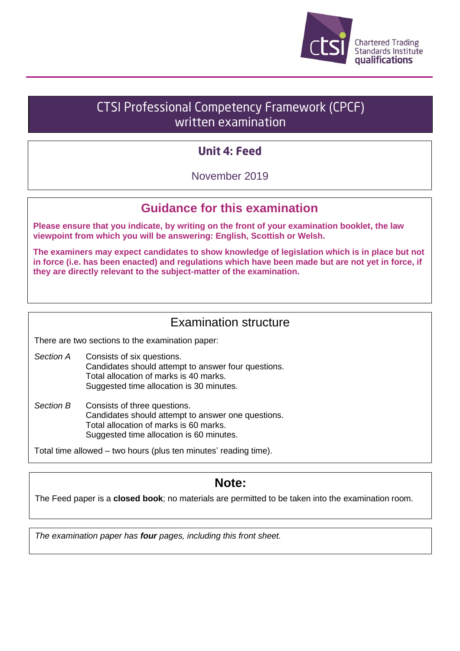

# **CTSI Professional Competency Framework (CPCF)** written examination

## **Unit 4: Feed**

November 2019

## **Guidance for this examination**

**Please ensure that you indicate, by writing on the front of your examination booklet, the law viewpoint from which you will be answering: English, Scottish or Welsh.**

**The examiners may expect candidates to show knowledge of legislation which is in place but not in force (i.e. has been enacted) and regulations which have been made but are not yet in force, if they are directly relevant to the subject-matter of the examination.**

## Examination structure

There are two sections to the examination paper:

- *Section A* Consists of six questions. Candidates should attempt to answer four questions. Total allocation of marks is 40 marks. Suggested time allocation is 30 minutes.
- *Section B* Consists of three questions. Candidates should attempt to answer one questions. Total allocation of marks is 60 marks. Suggested time allocation is 60 minutes.

Total time allowed – two hours (plus ten minutes' reading time).

## **Note:**

The Feed paper is a **closed book**; no materials are permitted to be taken into the examination room.

*The examination paper has four pages, including this front sheet.*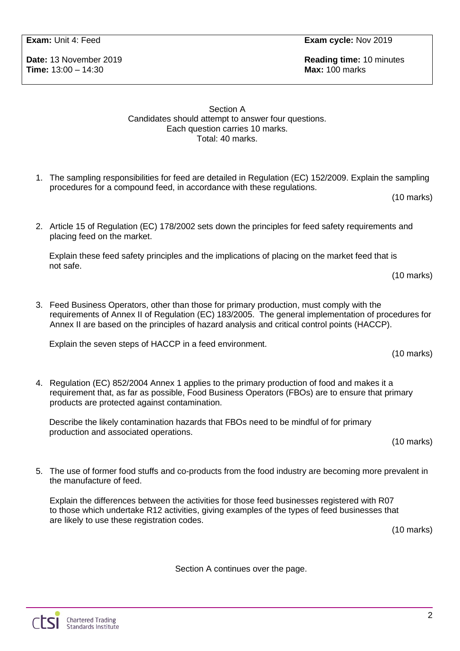**Time:** 13:00 – 14:30 **Max:** 100 marks

**Date:** 13 November 2019 **Reading time:** 10 minutes

### Section A Candidates should attempt to answer four questions. Each question carries 10 marks. Total: 40 marks.

- 1. The sampling responsibilities for feed are detailed in Regulation (EC) 152/2009. Explain the sampling procedures for a compound feed, in accordance with these regulations.
- 2. Article 15 of Regulation (EC) 178/2002 sets down the principles for feed safety requirements and placing feed on the market.

Explain these feed safety principles and the implications of placing on the market feed that is not safe.

(10 marks)

(10 marks)

(10 marks)

3. Feed Business Operators, other than those for primary production, must comply with the requirements of Annex II of Regulation (EC) 183/2005. The general implementation of procedures for Annex II are based on the principles of hazard analysis and critical control points (HACCP).

Explain the seven steps of HACCP in a feed environment.

4. Regulation (EC) 852/2004 Annex 1 applies to the primary production of food and makes it a requirement that, as far as possible, Food Business Operators (FBOs) are to ensure that primary products are protected against contamination.

Describe the likely contamination hazards that FBOs need to be mindful of for primary production and associated operations.

- (10 marks)
- 5. The use of former food stuffs and co-products from the food industry are becoming more prevalent in the manufacture of feed.

Explain the differences between the activities for those feed businesses registered with R07 to those which undertake R12 activities, giving examples of the types of feed businesses that are likely to use these registration codes.

(10 marks)

Section A continues over the page.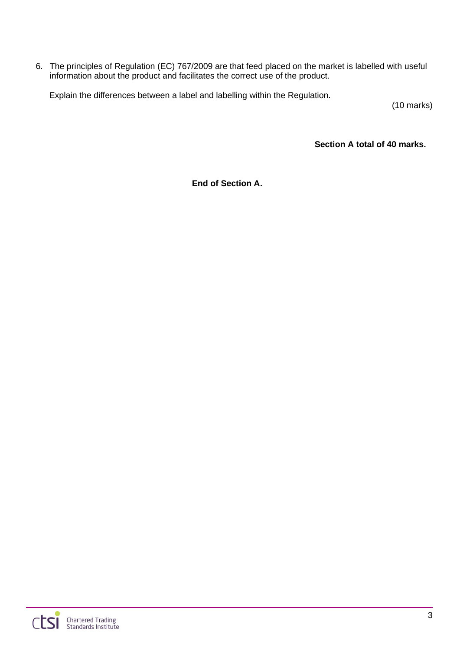6. The principles of Regulation (EC) 767/2009 are that feed placed on the market is labelled with useful information about the product and facilitates the correct use of the product.

Explain the differences between a label and labelling within the Regulation.

(10 marks)

**Section A total of 40 marks.**

**End of Section A.**